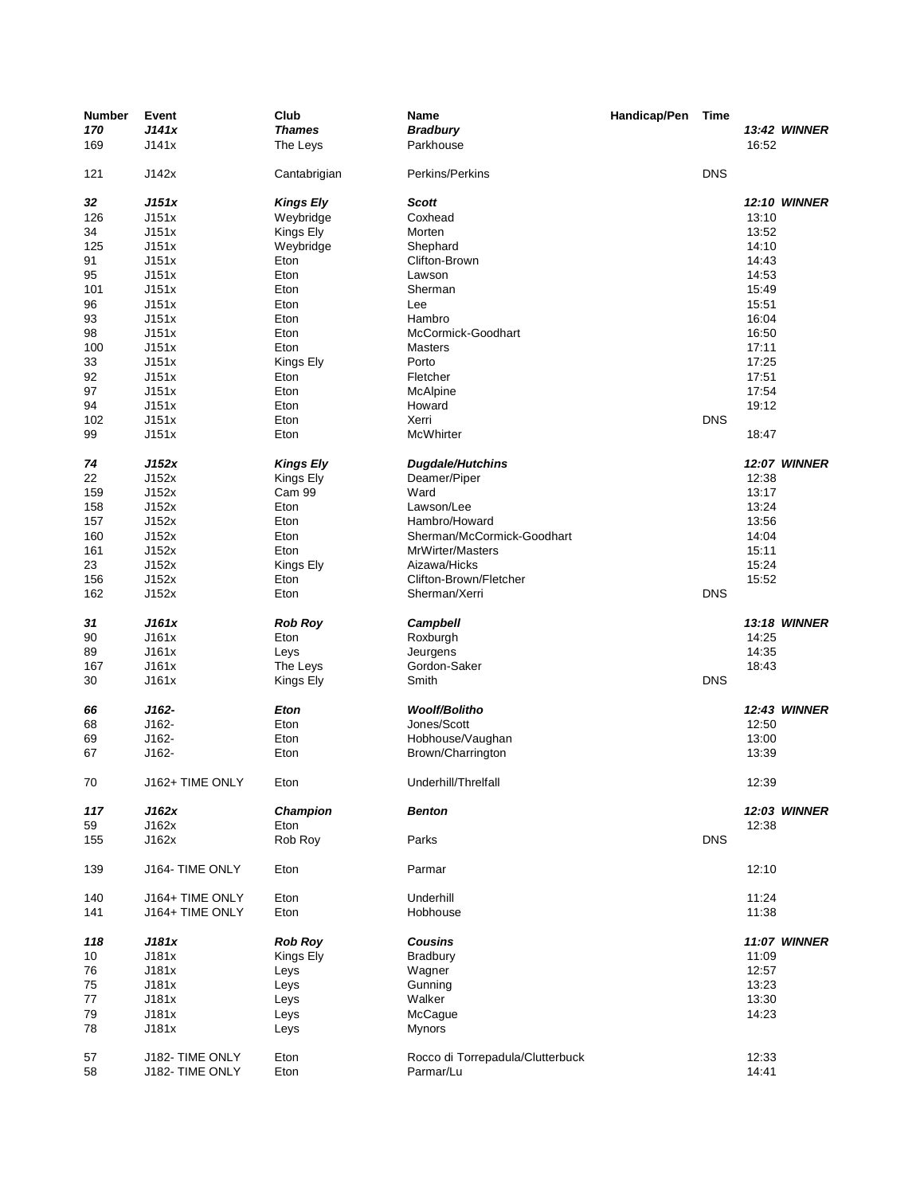| <b>Number</b> | Event           | Club             | Name                             | Handicap/Pen | Time       |       |                     |
|---------------|-----------------|------------------|----------------------------------|--------------|------------|-------|---------------------|
| 170           | J141x           | <b>Thames</b>    | <b>Bradbury</b>                  |              |            |       | <b>13:42 WINNER</b> |
| 169           | J141x           | The Leys         | Parkhouse                        |              |            | 16:52 |                     |
| 121           | J142x           | Cantabrigian     | Perkins/Perkins                  |              | <b>DNS</b> |       |                     |
| 32            | J151x           | <b>Kings Ely</b> | <b>Scott</b>                     |              |            |       | <b>12:10 WINNER</b> |
| 126           | J151x           | Weybridge        | Coxhead                          |              |            | 13:10 |                     |
| 34            | J151x           | Kings Ely        | Morten                           |              |            | 13:52 |                     |
|               |                 |                  |                                  |              |            |       |                     |
| 125           | J151x           | Weybridge        | Shephard                         |              |            | 14:10 |                     |
| 91            | J151x           | Eton             | Clifton-Brown                    |              |            | 14:43 |                     |
| 95            | J151x           | Eton             | Lawson                           |              |            | 14:53 |                     |
| 101           | J151x           | Eton             | Sherman                          |              |            | 15:49 |                     |
| 96            | J151x           | Eton             | Lee                              |              |            | 15:51 |                     |
| 93            | J151x           | Eton             | Hambro                           |              |            | 16:04 |                     |
| 98            | J151x           | Eton             | McCormick-Goodhart               |              |            | 16:50 |                     |
| 100           | J151x           | Eton             | <b>Masters</b>                   |              |            | 17:11 |                     |
|               |                 |                  |                                  |              |            |       |                     |
| 33            | J151x           | Kings Ely        | Porto                            |              |            | 17:25 |                     |
| 92            | J151x           | Eton             | Fletcher                         |              |            | 17:51 |                     |
| 97            | J151x           | Eton             | McAlpine                         |              |            | 17:54 |                     |
| 94            | J151x           | Eton             | Howard                           |              |            | 19:12 |                     |
| 102           | J151x           | Eton             | Xerri                            |              | <b>DNS</b> |       |                     |
| 99            | J151x           | Eton             | McWhirter                        |              |            | 18:47 |                     |
|               |                 |                  |                                  |              |            |       |                     |
| 74            | J152x           | <b>Kings Ely</b> | <b>Dugdale/Hutchins</b>          |              |            |       | <b>12:07 WINNER</b> |
| 22            | J152x           | Kings Ely        | Deamer/Piper                     |              |            | 12:38 |                     |
| 159           | J152x           | Cam 99           | Ward                             |              |            | 13:17 |                     |
| 158           | J152x           | Eton             | Lawson/Lee                       |              |            | 13:24 |                     |
| 157           | J152x           | Eton             | Hambro/Howard                    |              |            | 13:56 |                     |
| 160           | J152x           | Eton             | Sherman/McCormick-Goodhart       |              |            | 14:04 |                     |
| 161           | J152x           | Eton             | MrWirter/Masters                 |              |            | 15:11 |                     |
| 23            | J152x           |                  | Aizawa/Hicks                     |              |            | 15:24 |                     |
|               |                 | Kings Ely        |                                  |              |            |       |                     |
| 156           | J152x           | Eton             | Clifton-Brown/Fletcher           |              |            | 15:52 |                     |
| 162           | J152x           | Eton             | Sherman/Xerri                    |              | <b>DNS</b> |       |                     |
| 31            | J161x           | <b>Rob Roy</b>   | <b>Campbell</b>                  |              |            |       | 13:18 WINNER        |
| 90            | J161x           | Eton             | Roxburgh                         |              |            | 14:25 |                     |
| 89            | J161x           | Leys             | Jeurgens                         |              |            | 14:35 |                     |
| 167           | J161x           | The Leys         | Gordon-Saker                     |              |            | 18:43 |                     |
|               |                 |                  |                                  |              |            |       |                     |
| 30            | J161x           | Kings Ely        | Smith                            |              | <b>DNS</b> |       |                     |
| 66            | J162-           | Eton             | <b>Woolf/Bolitho</b>             |              |            |       | <b>12:43 WINNER</b> |
| 68            | J162-           | Eton             | Jones/Scott                      |              |            | 12:50 |                     |
| 69            | J162-           | Eton             | Hobhouse/Vaughan                 |              |            | 13:00 |                     |
| 67            | J162-           | Eton             | Brown/Charrington                |              |            | 13:39 |                     |
|               |                 |                  |                                  |              |            |       |                     |
| 70            | J162+ TIME ONLY | Eton             | Underhill/Threlfall              |              |            | 12:39 |                     |
| 117           | J162x           | <b>Champion</b>  | <b>Benton</b>                    |              |            |       | <b>12:03 WINNER</b> |
| 59            | J162x           | Eton             |                                  |              |            | 12:38 |                     |
| 155           | J162x           | Rob Roy          | Parks                            |              | <b>DNS</b> |       |                     |
| 139           | J164- TIME ONLY | Eton             | Parmar                           |              |            | 12:10 |                     |
| 140           | J164+ TIME ONLY | Eton             | Underhill                        |              |            | 11:24 |                     |
| 141           | J164+ TIME ONLY | Eton             | Hobhouse                         |              |            | 11:38 |                     |
|               |                 |                  |                                  |              |            |       |                     |
| 118           | J181x           | <b>Rob Roy</b>   | <b>Cousins</b>                   |              |            |       | <b>11:07 WINNER</b> |
| 10            | J181x           | Kings Ely        | <b>Bradbury</b>                  |              |            | 11:09 |                     |
| 76            | J181x           | Leys             | Wagner                           |              |            | 12:57 |                     |
| 75            | J181x           | Leys             | Gunning                          |              |            | 13:23 |                     |
| 77            | J181x           | Leys             | Walker                           |              |            | 13:30 |                     |
| 79            | J181x           | Leys             | McCague                          |              |            | 14:23 |                     |
| 78            | J181x           |                  | <b>Mynors</b>                    |              |            |       |                     |
|               |                 | Leys             |                                  |              |            |       |                     |
| 57            | J182- TIME ONLY | Eton             | Rocco di Torrepadula/Clutterbuck |              |            | 12:33 |                     |
| 58            | J182- TIME ONLY | Eton             | Parmar/Lu                        |              |            | 14:41 |                     |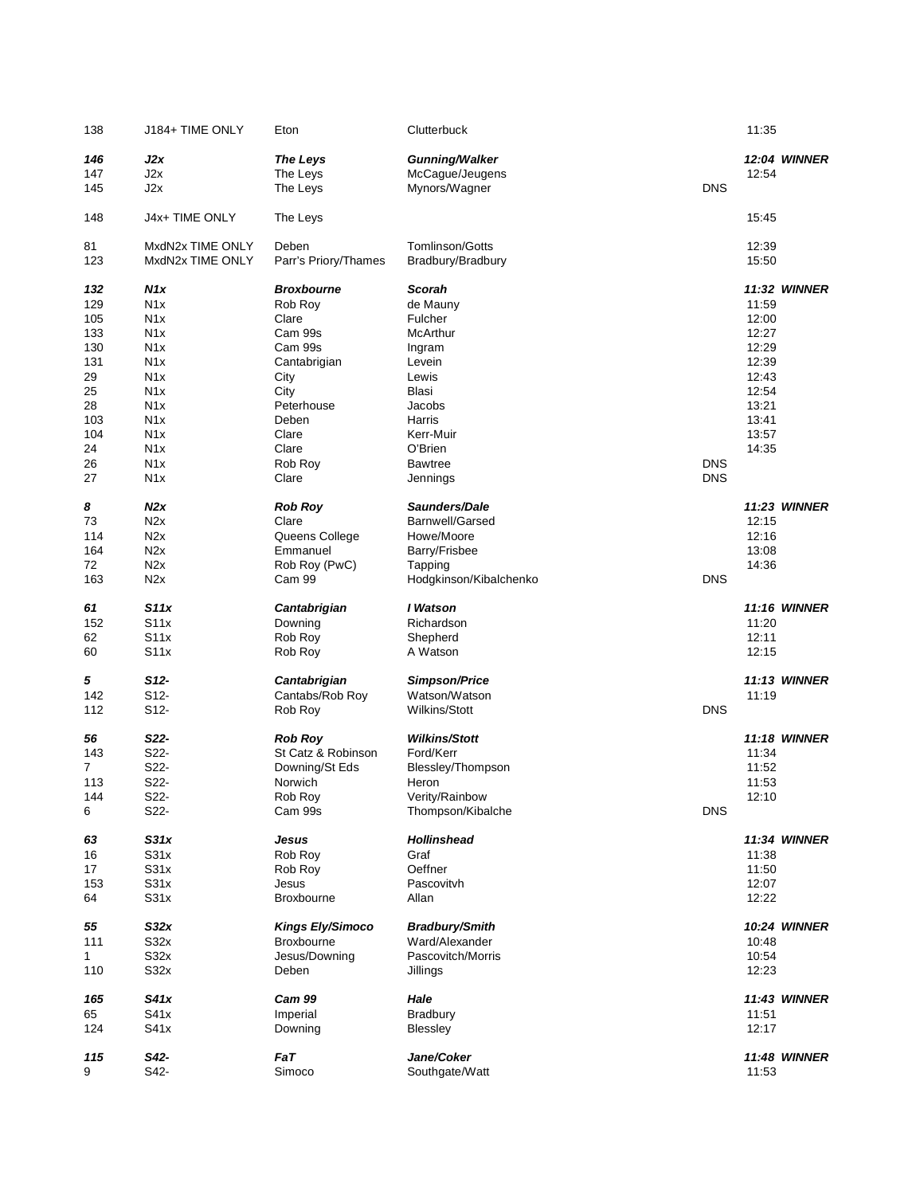| 138 | J184+ TIME ONLY  | Eton                    | Clutterbuck            |            | 11:35 |                     |
|-----|------------------|-------------------------|------------------------|------------|-------|---------------------|
| 146 | J2x              | <b>The Leys</b>         | <b>Gunning/Walker</b>  |            |       | <b>12:04 WINNER</b> |
| 147 | J2x              | The Leys                | McCague/Jeugens        |            | 12:54 |                     |
| 145 | J2x              | The Leys                | Mynors/Wagner          | <b>DNS</b> |       |                     |
| 148 | J4x+ TIME ONLY   | The Leys                |                        |            | 15:45 |                     |
| 81  | MxdN2x TIME ONLY | Deben                   | Tomlinson/Gotts        |            | 12:39 |                     |
| 123 | MxdN2x TIME ONLY | Parr's Priory/Thames    | Bradbury/Bradbury      |            | 15:50 |                     |
| 132 | N <sub>1</sub> x | <b>Broxbourne</b>       | Scorah                 |            |       | <b>11:32 WINNER</b> |
| 129 | N <sub>1</sub> x | Rob Roy                 | de Mauny               |            | 11:59 |                     |
| 105 | N <sub>1</sub> x | Clare                   | Fulcher                |            | 12:00 |                     |
| 133 | N <sub>1</sub> x | Cam 99s                 | McArthur               |            | 12:27 |                     |
| 130 | N <sub>1</sub> x | Cam 99s                 | Ingram                 |            | 12:29 |                     |
| 131 | N <sub>1</sub> x | Cantabrigian            | Levein                 |            | 12:39 |                     |
|     | N <sub>1</sub> x |                         |                        |            | 12:43 |                     |
| 29  |                  | City                    | Lewis                  |            |       |                     |
| 25  | N <sub>1</sub> x | City                    | Blasi                  |            | 12:54 |                     |
| 28  | N <sub>1</sub> x | Peterhouse              | Jacobs                 |            | 13:21 |                     |
| 103 | N <sub>1</sub> x | Deben                   | Harris                 |            | 13:41 |                     |
| 104 | N <sub>1</sub> x | Clare                   | Kerr-Muir              |            | 13:57 |                     |
| 24  | N <sub>1</sub> x | Clare                   | O'Brien                |            | 14:35 |                     |
| 26  | N <sub>1</sub> x | Rob Roy                 | <b>Bawtree</b>         | <b>DNS</b> |       |                     |
| 27  | N <sub>1</sub> x | Clare                   | Jennings               | <b>DNS</b> |       |                     |
|     |                  |                         |                        |            |       |                     |
| 8   | N2x              | <b>Rob Roy</b>          | Saunders/Dale          |            |       | <b>11:23 WINNER</b> |
| 73  | N <sub>2</sub> x | Clare                   | Barnwell/Garsed        |            | 12:15 |                     |
| 114 | N2x              | Queens College          | Howe/Moore             |            | 12:16 |                     |
|     |                  |                         |                        |            |       |                     |
| 164 | N <sub>2</sub> x | Emmanuel                | Barry/Frisbee          |            | 13:08 |                     |
| 72  | N2x              | Rob Roy (PwC)           | Tapping                |            | 14:36 |                     |
| 163 | N2x              | Cam 99                  | Hodgkinson/Kibalchenko | <b>DNS</b> |       |                     |
| 61  | S11x             | Cantabrigian            | I Watson               |            |       | <b>11:16 WINNER</b> |
| 152 | S11x             | Downing                 | Richardson             |            | 11:20 |                     |
| 62  | S11x             | Rob Roy                 | Shepherd               |            | 12:11 |                     |
| 60  | S11x             | Rob Roy                 | A Watson               |            | 12:15 |                     |
|     |                  |                         |                        |            |       |                     |
| 5   | $S12-$           | Cantabrigian            | <b>Simpson/Price</b>   |            |       | <b>11:13 WINNER</b> |
| 142 | S12-             | Cantabs/Rob Roy         | Watson/Watson          |            | 11:19 |                     |
| 112 | S12-             | Rob Roy                 | Wilkins/Stott          | <b>DNS</b> |       |                     |
| 56  | S22-             | <b>Rob Roy</b>          | <b>Wilkins/Stott</b>   |            |       | <b>11:18 WINNER</b> |
|     | S22-             |                         | Ford/Kerr              |            |       |                     |
| 143 |                  | St Catz & Robinson      |                        |            | 11:34 |                     |
| 7   | S22-             | Downing/St Eds          | Blessley/Thompson      |            | 11:52 |                     |
| 113 | S22-             | Norwich                 | Heron                  |            | 11:53 |                     |
| 144 | S22-             | Rob Roy                 | Verity/Rainbow         |            | 12:10 |                     |
| 6   | S22-             | Cam 99s                 | Thompson/Kibalche      | <b>DNS</b> |       |                     |
| 63  | S31x             | Jesus                   | <b>Hollinshead</b>     |            |       | <b>11:34 WINNER</b> |
| 16  | S31x             | Rob Roy                 | Graf                   |            | 11:38 |                     |
|     | S31x             |                         | Oeffner                |            |       |                     |
| 17  |                  | Rob Roy                 |                        |            | 11:50 |                     |
| 153 | S31x             | Jesus                   | Pascovitvh             |            | 12:07 |                     |
| 64  | S31x             | <b>Broxbourne</b>       | Allan                  |            | 12:22 |                     |
| 55  | S32x             | <b>Kings Ely/Simoco</b> | <b>Bradbury/Smith</b>  |            |       | <b>10:24 WINNER</b> |
| 111 | S32x             | <b>Broxbourne</b>       | Ward/Alexander         |            | 10:48 |                     |
| 1   | S32x             | Jesus/Downing           | Pascovitch/Morris      |            | 10:54 |                     |
| 110 | S32x             | Deben                   | Jillings               |            | 12:23 |                     |
|     |                  |                         |                        |            |       |                     |
| 165 | S41x             | Cam 99                  | Hale                   |            |       | <b>11:43 WINNER</b> |
| 65  | S41x             | Imperial                | <b>Bradbury</b>        |            | 11:51 |                     |
| 124 | S41x             | Downing                 | Blessley               |            | 12:17 |                     |
| 115 | S42-             | FaT                     | Jane/Coker             |            |       | <b>11:48 WINNER</b> |
| 9   | S42-             | Simoco                  | Southgate/Watt         |            | 11:53 |                     |
|     |                  |                         |                        |            |       |                     |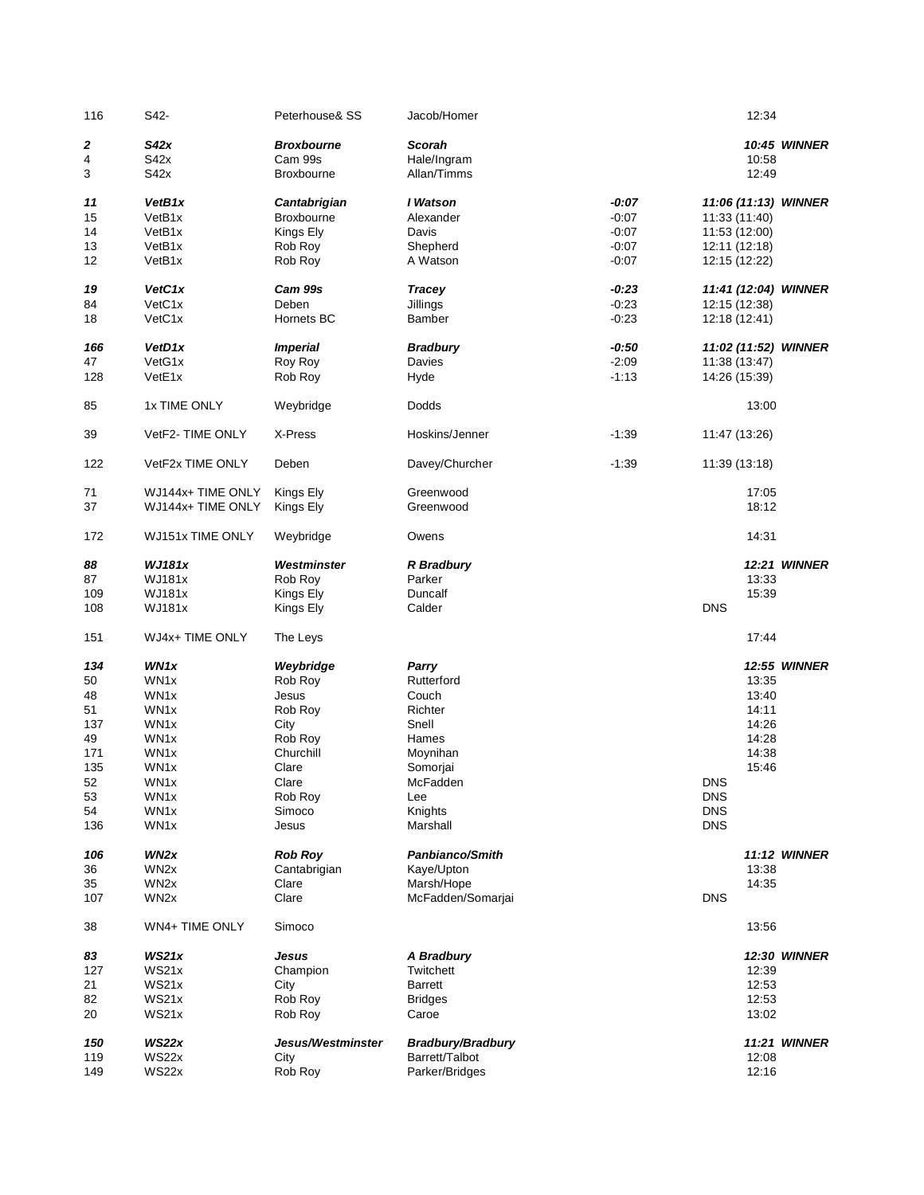| 116 | S42-              | Peterhouse& SS         | Jacob/Homer              |         | 12:34                |                     |
|-----|-------------------|------------------------|--------------------------|---------|----------------------|---------------------|
| 2   | S42x              | <b>Broxbourne</b>      | Scorah                   |         |                      | <b>10:45 WINNER</b> |
| 4   | S42x              | Cam 99s                | Hale/Ingram              |         | 10:58                |                     |
| 3   | S42x              | Broxbourne             | Allan/Timms              |         | 12:49                |                     |
|     |                   |                        |                          |         |                      |                     |
| 11  | VetB1x            | Cantabrigian           | I Watson                 | $-0:07$ | 11:06 (11:13) WINNER |                     |
| 15  | VetB1x            | Broxbourne             | Alexander                | $-0:07$ | 11:33 (11:40)        |                     |
| 14  | VetB1x            | Kings Ely              | Davis                    | $-0:07$ | 11:53 (12:00)        |                     |
| 13  | VetB1x            | Rob Roy                | Shepherd                 | $-0:07$ | 12:11 (12:18)        |                     |
| 12  | VetB1x            | Rob Roy                | A Watson                 | $-0:07$ | 12:15 (12:22)        |                     |
|     |                   |                        |                          |         |                      |                     |
| 19  | VetC1x            | Cam 99s                | <b>Tracey</b>            | $-0.23$ | 11:41 (12:04) WINNER |                     |
| 84  | VetC1x            | Deben                  | Jillings                 | $-0:23$ | 12:15 (12:38)        |                     |
| 18  | VetC1x            | Hornets BC             | <b>Bamber</b>            | $-0:23$ | 12:18 (12:41)        |                     |
|     |                   |                        |                          |         |                      |                     |
| 166 | VetD1x            | <i><b>Imperial</b></i> | <b>Bradbury</b>          | $-0.50$ | 11:02 (11:52) WINNER |                     |
| 47  | VetG1x            | Roy Roy                | Davies                   | $-2:09$ | 11:38 (13:47)        |                     |
| 128 | VetE1x            | Rob Roy                | Hyde                     | $-1:13$ | 14:26 (15:39)        |                     |
|     |                   |                        |                          |         |                      |                     |
| 85  | 1x TIME ONLY      | Weybridge              | Dodds                    |         | 13:00                |                     |
|     |                   |                        |                          |         |                      |                     |
| 39  | VetF2-TIME ONLY   | X-Press                | Hoskins/Jenner           | $-1:39$ | 11:47 (13:26)        |                     |
|     |                   |                        |                          |         |                      |                     |
|     |                   | Deben                  |                          |         |                      |                     |
| 122 | VetF2x TIME ONLY  |                        | Davey/Churcher           | $-1:39$ | 11:39 (13:18)        |                     |
|     |                   |                        |                          |         |                      |                     |
| 71  | WJ144x+ TIME ONLY | Kings Ely              | Greenwood                |         | 17:05                |                     |
| 37  | WJ144x+ TIME ONLY | Kings Ely              | Greenwood                |         | 18:12                |                     |
|     |                   |                        |                          |         |                      |                     |
| 172 | WJ151x TIME ONLY  | Weybridge              | Owens                    |         | 14:31                |                     |
|     |                   |                        |                          |         |                      |                     |
| 88  | <b>WJ181x</b>     | Westminster            | R Bradbury               |         |                      | <b>12:21 WINNER</b> |
| 87  | <b>WJ181x</b>     | Rob Roy                | Parker                   |         | 13:33                |                     |
| 109 | <b>WJ181x</b>     | Kings Ely              | Duncalf                  |         | 15:39                |                     |
| 108 | <b>WJ181x</b>     | Kings Ely              | Calder                   |         | <b>DNS</b>           |                     |
| 151 | WJ4x+ TIME ONLY   | The Leys               |                          |         | 17:44                |                     |
|     |                   |                        |                          |         |                      |                     |
| 134 | WN1x              | Weybridge              | Parry                    |         |                      | <b>12:55 WINNER</b> |
| 50  | WN1x              | Rob Roy                | Rutterford               |         | 13:35                |                     |
| 48  | WN1x              | Jesus                  | Couch                    |         | 13:40                |                     |
| 51  | WN <sub>1</sub> x | Rob Roy                | Richter                  |         | 14:11                |                     |
| 137 | WN1x              | City                   | Snell                    |         | 14:26                |                     |
| 49  | WN1x              | Rob Roy                | Hames                    |         | 14:28                |                     |
| 171 | WN1x              | Churchill              | Moynihan                 |         | 14:38                |                     |
| 135 | WN1x              | Clare                  | Somorjai                 |         | 15:46                |                     |
| 52  | WN1x              | Clare                  | McFadden                 |         | <b>DNS</b>           |                     |
| 53  | WN1x              | Rob Roy                | Lee                      |         | DNS                  |                     |
| 54  | WN1x              | Simoco                 | Knights                  |         | <b>DNS</b>           |                     |
| 136 | WN1x              | Jesus                  | Marshall                 |         | <b>DNS</b>           |                     |
|     |                   |                        |                          |         |                      |                     |
| 106 | WN <sub>2</sub> x | <b>Rob Roy</b>         | Panbianco/Smith          |         |                      | <b>11:12 WINNER</b> |
| 36  | WN <sub>2</sub> x | Cantabrigian           | Kaye/Upton               |         | 13:38                |                     |
| 35  | WN <sub>2x</sub>  | Clare                  | Marsh/Hope               |         | 14:35                |                     |
|     |                   | Clare                  |                          |         | <b>DNS</b>           |                     |
| 107 | WN <sub>2</sub> x |                        | McFadden/Somarjai        |         |                      |                     |
| 38  | WN4+ TIME ONLY    | Simoco                 |                          |         | 13:56                |                     |
|     |                   |                        |                          |         |                      |                     |
| 83  | WS21x             | Jesus                  | A Bradbury               |         |                      | 12:30 WINNER        |
| 127 | WS21x             | Champion               | Twitchett                |         | 12:39                |                     |
| 21  | WS21x             | City                   | <b>Barrett</b>           |         | 12:53                |                     |
| 82  | WS21x             | Rob Roy                | <b>Bridges</b>           |         | 12:53                |                     |
| 20  | WS21x             | Rob Roy                | Caroe                    |         | 13:02                |                     |
|     |                   |                        |                          |         |                      |                     |
| 150 | WS22x             | Jesus/Westminster      | <b>Bradbury/Bradbury</b> |         |                      | <b>11:21 WINNER</b> |
| 119 | WS22x             | City                   | Barrett/Talbot           |         | 12:08                |                     |
| 149 | WS22x             | Rob Roy                | Parker/Bridges           |         | 12:16                |                     |